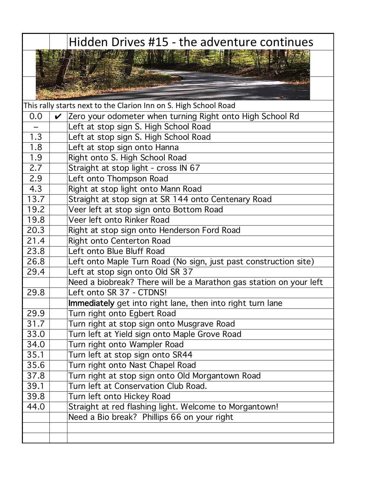|            | Hidden Drives #15 - the adventure continues                        |
|------------|--------------------------------------------------------------------|
|            |                                                                    |
|            |                                                                    |
|            |                                                                    |
|            |                                                                    |
|            |                                                                    |
|            | This rally starts next to the Clarion Inn on S. High School Road   |
| 0.0        | Zero your odometer when turning Right onto High School Rd          |
|            | Left at stop sign S. High School Road                              |
| 1.3        | Left at stop sign S. High School Road                              |
| 1.8<br>1.9 | Left at stop sign onto Hanna                                       |
| 2.7        | Right onto S. High School Road                                     |
| 2.9        | Straight at stop light - cross IN 67                               |
| 4.3        | Left onto Thompson Road<br>Right at stop light onto Mann Road      |
| 13.7       | Straight at stop sign at SR 144 onto Centenary Road                |
| 19.2       | Veer left at stop sign onto Bottom Road                            |
| 19.8       | Veer left onto Rinker Road                                         |
| 20.3       | Right at stop sign onto Henderson Ford Road                        |
| 21.4       | Right onto Centerton Road                                          |
| 23.8       | Left onto Blue Bluff Road                                          |
| 26.8       | Left onto Maple Turn Road (No sign, just past construction site)   |
| 29.4       | Left at stop sign onto Old SR 37                                   |
|            | Need a biobreak? There will be a Marathon gas station on your left |
| 29.8       | Left onto SR 37 - CTDNS!                                           |
|            | Immediately get into right lane, then into right turn lane         |
| 29.9       | Turn right onto Egbert Road                                        |
| 31.7       | Turn right at stop sign onto Musgrave Road                         |
| 33.0       | Turn left at Yield sign onto Maple Grove Road                      |
| 34.0       | Turn right onto Wampler Road                                       |
| 35.1       | Turn left at stop sign onto SR44                                   |
| 35.6       | Turn right onto Nast Chapel Road                                   |
| 37.8       | Turn right at stop sign onto Old Morgantown Road                   |
| 39.1       | Turn left at Conservation Club Road.                               |
| 39.8       | Turn left onto Hickey Road                                         |
| 44.0       | Straight at red flashing light. Welcome to Morgantown!             |
|            | Need a Bio break? Phillips 66 on your right                        |
|            |                                                                    |
|            |                                                                    |